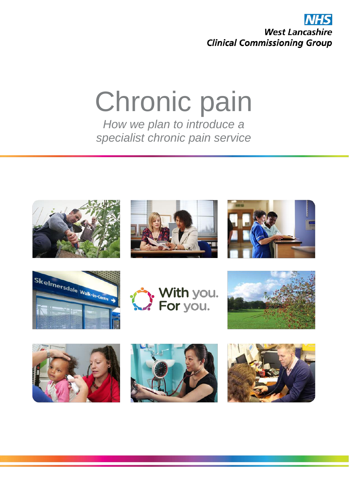

# Chronic pain *How we plan to introduce a*

*specialist chronic pain service* 

















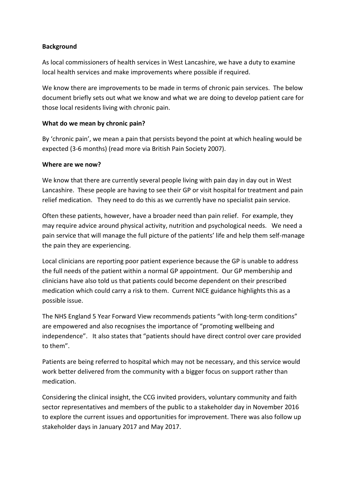## **Background**

As local commissioners of health services in West Lancashire, we have a duty to examine local health services and make improvements where possible if required.

We know there are improvements to be made in terms of chronic pain services. The below document briefly sets out what we know and what we are doing to develop patient care for those local residents living with chronic pain.

## **What do we mean by chronic pain?**

By 'chronic pain', we mean a pain that persists beyond the point at which healing would be expected (3-6 months) (read more via British Pain Society 2007).

## **Where are we now?**

We know that there are currently several people living with pain day in day out in West Lancashire. These people are having to see their GP or visit hospital for treatment and pain relief medication. They need to do this as we currently have no specialist pain service.

Often these patients, however, have a broader need than pain relief. For example, they may require advice around physical activity, nutrition and psychological needs. We need a pain service that will manage the full picture of the patients' life and help them self-manage the pain they are experiencing.

Local clinicians are reporting poor patient experience because the GP is unable to address the full needs of the patient within a normal GP appointment. Our GP membership and clinicians have also told us that patients could become dependent on their prescribed medication which could carry a risk to them. Current NICE guidance highlights this as a possible issue.

The NHS England 5 Year Forward View recommends patients "with long-term conditions" are empowered and also recognises the importance of "promoting wellbeing and independence". It also states that "patients should have direct control over care provided to them".

Patients are being referred to hospital which may not be necessary, and this service would work better delivered from the community with a bigger focus on support rather than medication.

Considering the clinical insight, the CCG invited providers, voluntary community and faith sector representatives and members of the public to a stakeholder day in November 2016 to explore the current issues and opportunities for improvement. There was also follow up stakeholder days in January 2017 and May 2017.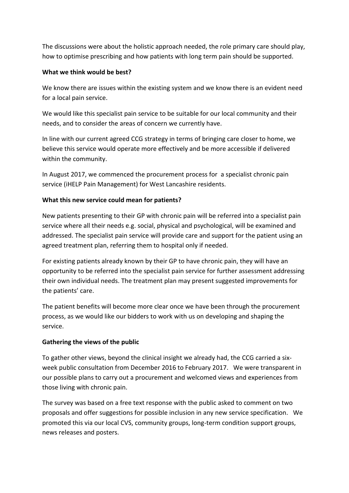The discussions were about the holistic approach needed, the role primary care should play, how to optimise prescribing and how patients with long term pain should be supported.

## **What we think would be best?**

We know there are issues within the existing system and we know there is an evident need for a local pain service.

We would like this specialist pain service to be suitable for our local community and their needs, and to consider the areas of concern we currently have.

In line with our current agreed CCG strategy in terms of bringing care closer to home, we believe this service would operate more effectively and be more accessible if delivered within the community.

In August 2017, we commenced the procurement process for a specialist chronic pain service (iHELP Pain Management) for West Lancashire residents.

## **What this new service could mean for patients?**

New patients presenting to their GP with chronic pain will be referred into a specialist pain service where all their needs e.g. social, physical and psychological, will be examined and addressed. The specialist pain service will provide care and support for the patient using an agreed treatment plan, referring them to hospital only if needed.

For existing patients already known by their GP to have chronic pain, they will have an opportunity to be referred into the specialist pain service for further assessment addressing their own individual needs. The treatment plan may present suggested improvements for the patients' care.

The patient benefits will become more clear once we have been through the procurement process, as we would like our bidders to work with us on developing and shaping the service.

## **Gathering the views of the public**

To gather other views, beyond the clinical insight we already had, the CCG carried a sixweek public consultation from December 2016 to February 2017. We were transparent in our possible plans to carry out a procurement and welcomed views and experiences from those living with chronic pain.

The survey was based on a free text response with the public asked to comment on two proposals and offer suggestions for possible inclusion in any new service specification. We promoted this via our local CVS, community groups, long-term condition support groups, news releases and posters.